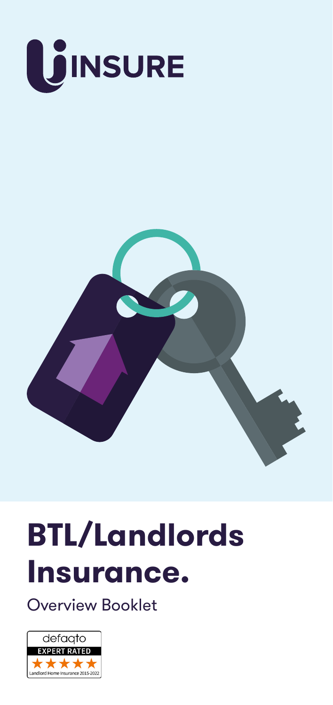



# **BTL/Landlords Insurance.**

Overview Booklet

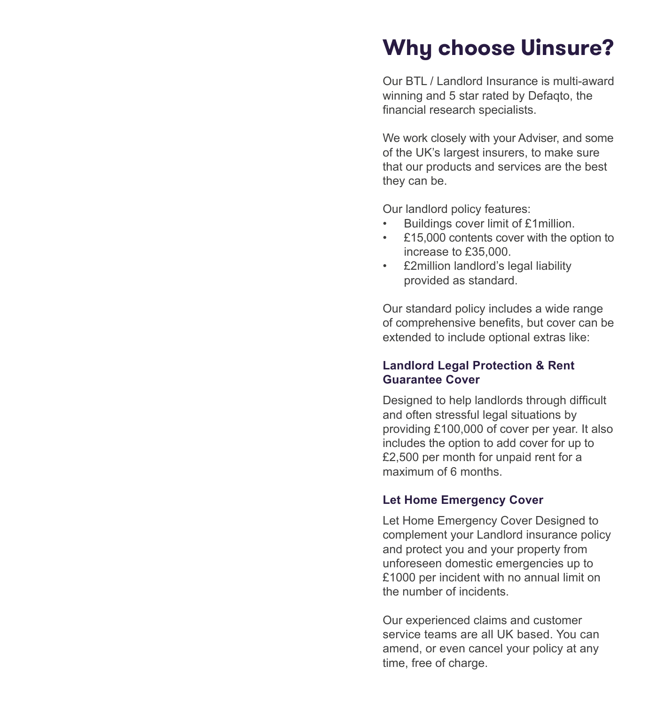### **Why choose Uinsure?**

Our BTL / Landlord Insurance is multi-award winning and 5 star rated by Defaqto, the financial research specialists.

We work closely with your Adviser, and some of the UK's largest insurers, to make sure that our products and services are the best they can be.

Our landlord policy features:

- Buildings cover limit of £1million.
- £15,000 contents cover with the option to increase to £35,000.
- £2million landlord's legal liability provided as standard.

Our standard policy includes a wide range of comprehensive benefits, but cover can be extended to include optional extras like:

#### **Landlord Legal Protection & Rent Guarantee Cover**

Designed to help landlords through difficult and often stressful legal situations by providing £100,000 of cover per year. It also includes the option to add cover for up to £2,500 per month for unpaid rent for a maximum of 6 months.

#### **Let Home Emergency Cover**

Let Home Emergency Cover Designed to complement your Landlord insurance policy and protect you and your property from unforeseen domestic emergencies up to £1000 per incident with no annual limit on the number of incidents.

Our experienced claims and customer service teams are all UK based. You can amend, or even cancel your policy at any time, free of charge.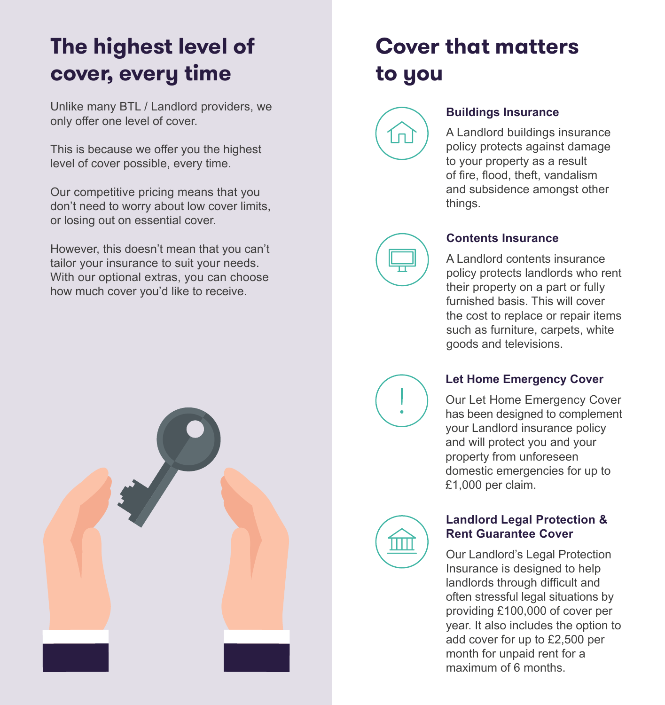# **The highest level of cover, every time**

Unlike many BTL / Landlord providers, we only offer one level of cover.

This is because we offer you the highest level of cover possible, every time.

Our competitive pricing means that you don't need to worry about low cover limits, or losing out on essential cover.

However, this doesn't mean that you can't tailor your insurance to suit your needs. With our optional extras, you can choose how much cover you'd like to receive.



# **Cover that matters to you**

#### **Buildings Insurance**

A Landlord buildings insurance policy protects against damage to your property as a result of fire, flood, theft, vandalism and subsidence amongst other things.



#### **Contents Insurance**

A Landlord contents insurance policy protects landlords who rent their property on a part or fully furnished basis. This will cover the cost to replace or repair items such as furniture, carpets, white goods and televisions.

**Let Home Emergency Cover**

Our Let Home Emergency Cover has been designed to complement your Landlord insurance policy and will protect you and your property from unforeseen domestic emergencies for up to £1,000 per claim.



#### **Landlord Legal Protection & Rent Guarantee Cover**

Our Landlord's Legal Protection Insurance is designed to help landlords through difficult and often stressful legal situations by providing £100,000 of cover per year. It also includes the option to add cover for up to £2,500 per month for unpaid rent for a maximum of 6 months.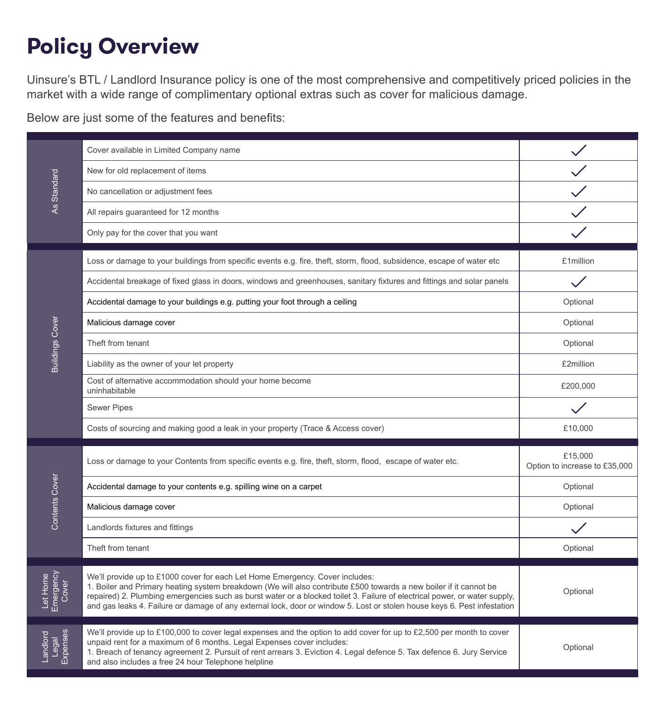# **Policy Overview**

Uinsure's BTL / Landlord Insurance policy is one of the most comprehensive and competitively priced policies in the market with a wide range of complimentary optional extras such as cover for malicious damage.

Below are just some of the features and benefits:

| As Standard                    | Cover available in Limited Company name                                                                                                                                                                                                                                                                                                                                                                                                                     |                                          |
|--------------------------------|-------------------------------------------------------------------------------------------------------------------------------------------------------------------------------------------------------------------------------------------------------------------------------------------------------------------------------------------------------------------------------------------------------------------------------------------------------------|------------------------------------------|
|                                | New for old replacement of items                                                                                                                                                                                                                                                                                                                                                                                                                            |                                          |
|                                | No cancellation or adjustment fees                                                                                                                                                                                                                                                                                                                                                                                                                          |                                          |
|                                | All repairs guaranteed for 12 months                                                                                                                                                                                                                                                                                                                                                                                                                        |                                          |
|                                | Only pay for the cover that you want                                                                                                                                                                                                                                                                                                                                                                                                                        |                                          |
| <b>Buildings Cover</b>         | Loss or damage to your buildings from specific events e.g. fire, theft, storm, flood, subsidence, escape of water etc                                                                                                                                                                                                                                                                                                                                       | £1million                                |
|                                | Accidental breakage of fixed glass in doors, windows and greenhouses, sanitary fixtures and fittings and solar panels                                                                                                                                                                                                                                                                                                                                       |                                          |
|                                | Accidental damage to your buildings e.g. putting your foot through a ceiling                                                                                                                                                                                                                                                                                                                                                                                | Optional                                 |
|                                | Malicious damage cover                                                                                                                                                                                                                                                                                                                                                                                                                                      | Optional                                 |
|                                | Theft from tenant                                                                                                                                                                                                                                                                                                                                                                                                                                           | Optional                                 |
|                                | Liability as the owner of your let property                                                                                                                                                                                                                                                                                                                                                                                                                 | £2million                                |
|                                | Cost of alternative accommodation should your home become<br>uninhabitable                                                                                                                                                                                                                                                                                                                                                                                  | £200,000                                 |
|                                | <b>Sewer Pipes</b>                                                                                                                                                                                                                                                                                                                                                                                                                                          |                                          |
|                                | Costs of sourcing and making good a leak in your property (Trace & Access cover)                                                                                                                                                                                                                                                                                                                                                                            | £10,000                                  |
| Contents Cover                 | Loss or damage to your Contents from specific events e.g. fire, theft, storm, flood, escape of water etc.                                                                                                                                                                                                                                                                                                                                                   | £15,000<br>Option to increase to £35,000 |
|                                | Accidental damage to your contents e.g. spilling wine on a carpet                                                                                                                                                                                                                                                                                                                                                                                           | Optional                                 |
|                                | Malicious damage cover                                                                                                                                                                                                                                                                                                                                                                                                                                      | Optional                                 |
|                                | Landlords fixtures and fittings                                                                                                                                                                                                                                                                                                                                                                                                                             |                                          |
|                                | Theft from tenant                                                                                                                                                                                                                                                                                                                                                                                                                                           | Optional                                 |
| Let Home<br>Emergency<br>Cover | We'll provide up to £1000 cover for each Let Home Emergency. Cover includes:<br>1. Boiler and Primary heating system breakdown (We will also contribute £500 towards a new boiler if it cannot be<br>repaired) 2. Plumbing emergencies such as burst water or a blocked toilet 3. Failure of electrical power, or water supply,<br>and gas leaks 4. Failure or damage of any external lock, door or window 5. Lost or stolen house keys 6. Pest infestation | Optional                                 |
| Expenses<br>Landlorc<br>Legal  | We'll provide up to £100,000 to cover legal expenses and the option to add cover for up to £2,500 per month to cover<br>unpaid rent for a maximum of 6 months. Legal Expenses cover includes:<br>1. Breach of tenancy agreement 2. Pursuit of rent arrears 3. Eviction 4. Legal defence 5. Tax defence 6. Jury Service<br>and also includes a free 24 hour Telephone helpline                                                                               | Optional                                 |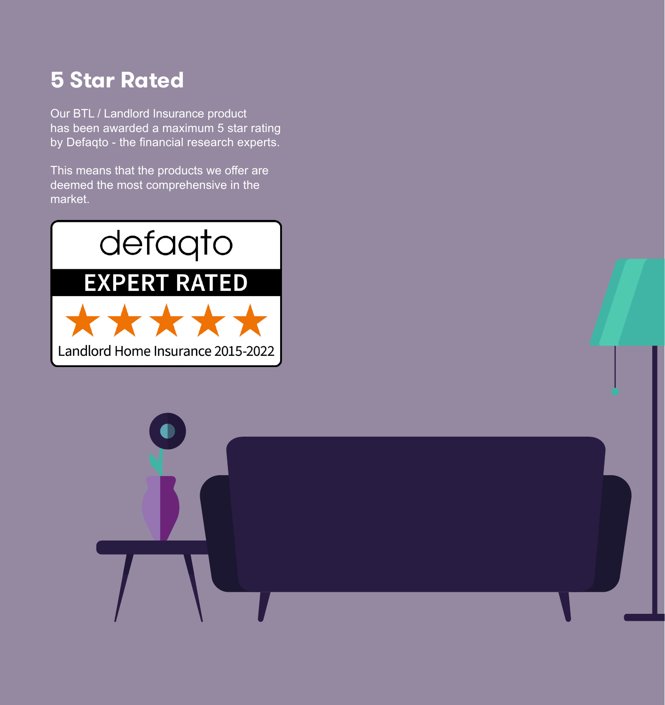### **5 Star Rated**

Our BTL / Landlord Insurance product has been awarded a maximum 5 star rating by Defaqto - the financial research experts.

This means that the products we offer are deemed the most comprehensive in the market.